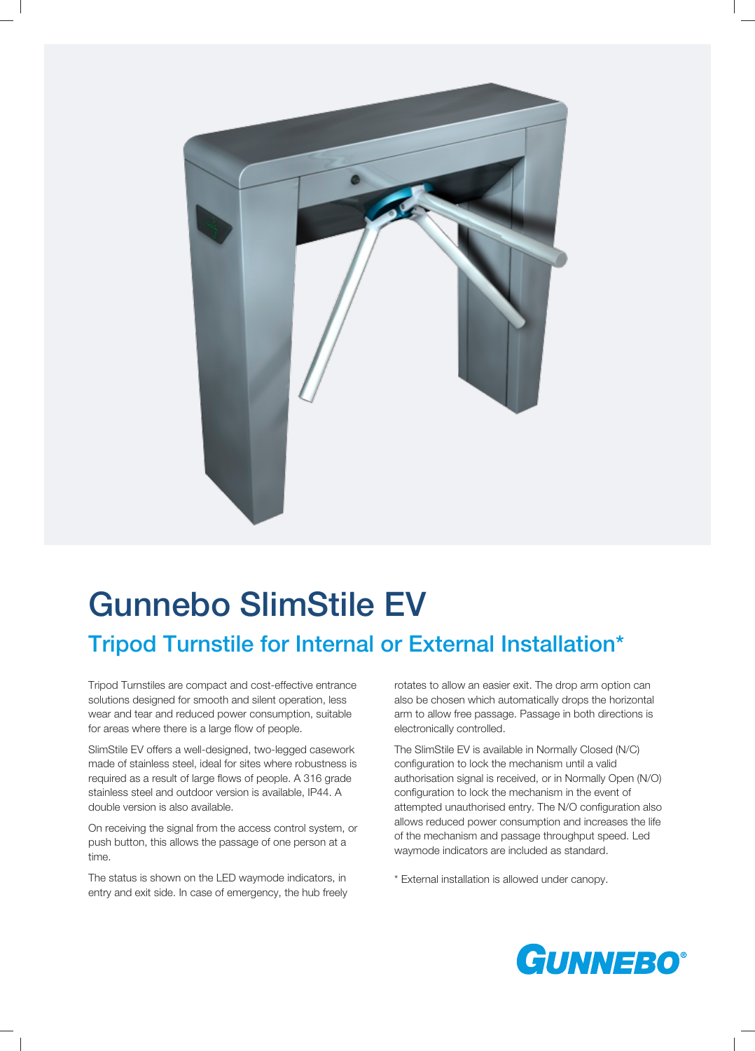

# Gunnebo SlimStile EV

# Tripod Turnstile for Internal or External Installation\*

Tripod Turnstiles are compact and cost-effective entrance solutions designed for smooth and silent operation, less wear and tear and reduced power consumption, suitable for areas where there is a large flow of people.

SlimStile EV offers a well-designed, two-legged casework made of stainless steel, ideal for sites where robustness is required as a result of large flows of people. A 316 grade stainless steel and outdoor version is available, IP44. A double version is also available.

On receiving the signal from the access control system, or push button, this allows the passage of one person at a time.

The status is shown on the LED waymode indicators, in entry and exit side. In case of emergency, the hub freely rotates to allow an easier exit. The drop arm option can also be chosen which automatically drops the horizontal arm to allow free passage. Passage in both directions is electronically controlled.

The SlimStile EV is available in Normally Closed (N/C) configuration to lock the mechanism until a valid authorisation signal is received, or in Normally Open (N/O) configuration to lock the mechanism in the event of attempted unauthorised entry. The N/O configuration also allows reduced power consumption and increases the life of the mechanism and passage throughput speed. Led waymode indicators are included as standard.

\* External installation is allowed under canopy.

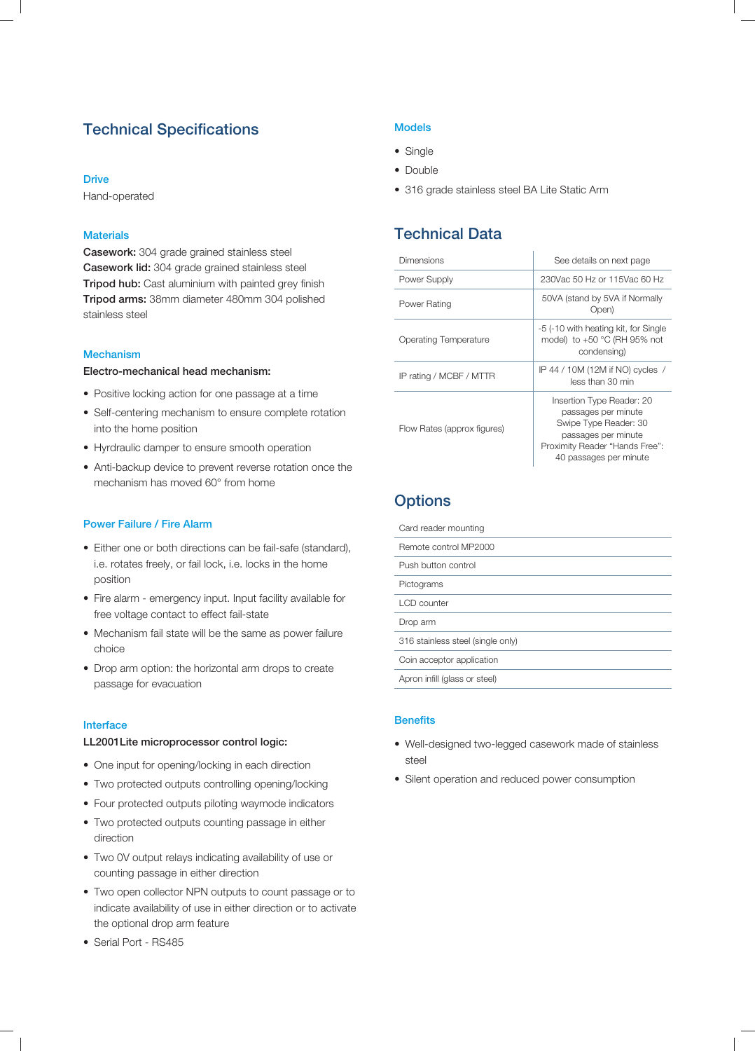# Technical Specifications

#### **Drive**

Hand-operated

#### **Materials**

Casework: 304 grade grained stainless steel Casework lid: 304 grade grained stainless steel Tripod hub: Cast aluminium with painted grey finish Tripod arms: 38mm diameter 480mm 304 polished stainless steel

#### Mechanism

#### Electro-mechanical head mechanism:

- Positive locking action for one passage at a time
- Self-centering mechanism to ensure complete rotation into the home position
- Hyrdraulic damper to ensure smooth operation
- Anti-backup device to prevent reverse rotation once the mechanism has moved 60° from home

#### Power Failure / Fire Alarm

- Either one or both directions can be fail-safe (standard), i.e. rotates freely, or fail lock, i.e. locks in the home position
- Fire alarm emergency input. Input facility available for free voltage contact to effect fail-state
- Mechanism fail state will be the same as power failure choice
- Drop arm option: the horizontal arm drops to create passage for evacuation

#### Interface

#### LL2001Lite microprocessor control logic:

- One input for opening/locking in each direction
- Two protected outputs controlling opening/locking
- Four protected outputs piloting waymode indicators
- Two protected outputs counting passage in either direction
- Two 0V output relays indicating availability of use or counting passage in either direction
- Two open collector NPN outputs to count passage or to indicate availability of use in either direction or to activate the optional drop arm feature
- Serial Port RS485

#### Models

- Single
- Double
- 316 grade stainless steel BA Lite Static Arm

### Technical Data

| Dimensions                  | See details on next page                                                                                                                                     |
|-----------------------------|--------------------------------------------------------------------------------------------------------------------------------------------------------------|
| Power Supply                | 230 Vac 50 Hz or 115 Vac 60 Hz                                                                                                                               |
| Power Rating                | 50VA (stand by 5VA if Normally<br>Open)                                                                                                                      |
| Operating Temperature       | -5 (-10 with heating kit, for Single<br>model) to $+50$ °C (RH 95% not<br>condensing)                                                                        |
| IP rating / MCBF / MTTR     | IP 44 / 10M (12M if NO) cycles /<br>less than 30 min                                                                                                         |
| Flow Rates (approx figures) | Insertion Type Reader: 20<br>passages per minute<br>Swipe Type Reader: 30<br>passages per minute<br>Proximity Reader "Hands Free":<br>40 passages per minute |

### **Options**

| Card reader mounting              |
|-----------------------------------|
| Remote control MP2000             |
| Push button control               |
| Pictograms                        |
| LCD counter                       |
| Drop arm                          |
| 316 stainless steel (single only) |
| Coin acceptor application         |
| Apron infill (glass or steel)     |

#### **Benefits**

- Well-designed two-legged casework made of stainless steel
- Silent operation and reduced power consumption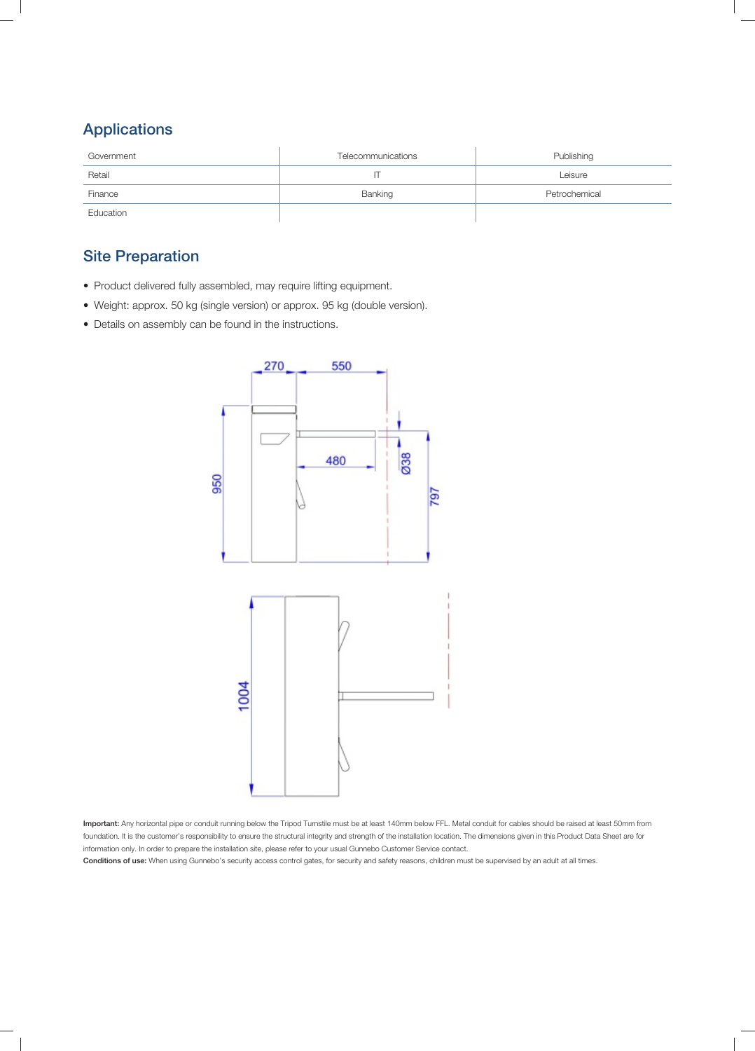# Applications

| Government | Telecommunications | Publishing    |
|------------|--------------------|---------------|
| Retail     |                    | Leisure       |
| Finance    | Banking            | Petrochemical |
| Education  |                    |               |

# Site Preparation

- Product delivered fully assembled, may require lifting equipment.
- Weight: approx. 50 kg (single version) or approx. 95 kg (double version).
- Details on assembly can be found in the instructions.



Important: Any horizontal pipe or conduit running below the Tripod Turnstile must be at least 140mm below FFL. Metal conduit for cables should be raised at least 50mm from foundation. It is the customer's responsibility to ensure the structural integrity and strength of the installation location. The dimensions given in this Product Data Sheet are for information only. In order to prepare the installation site, please refer to your usual Gunnebo Customer Service contact.

Conditions of use: When using Gunnebo's security access control gates, for security and safety reasons, children must be supervised by an adult at all times.